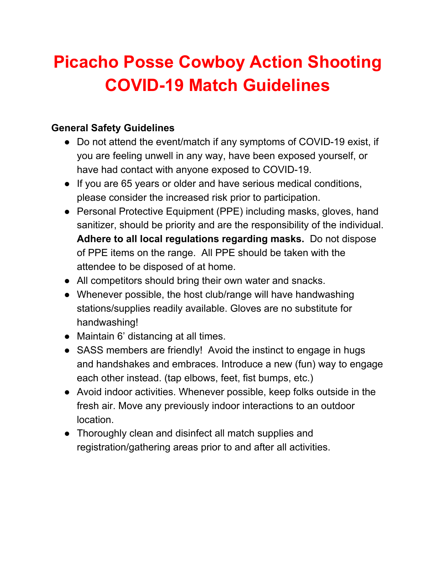# **Picacho Posse Cowboy Action Shooting COVID-19 Match Guidelines**

#### **General Safety Guidelines**

- Do not attend the event/match if any symptoms of COVID-19 exist, if you are feeling unwell in any way, have been exposed yourself, or have had contact with anyone exposed to COVID-19.
- If you are 65 years or older and have serious medical conditions, please consider the increased risk prior to participation.
- Personal Protective Equipment (PPE) including masks, gloves, hand sanitizer, should be priority and are the responsibility of the individual. **Adhere to all local regulations regarding masks.** Do not dispose of PPE items on the range. All PPE should be taken with the attendee to be disposed of at home.
- All competitors should bring their own water and snacks.
- Whenever possible, the host club/range will have handwashing stations/supplies readily available. Gloves are no substitute for handwashing!
- Maintain 6' distancing at all times.
- SASS members are friendly! Avoid the instinct to engage in hugs and handshakes and embraces. Introduce a new (fun) way to engage each other instead. (tap elbows, feet, fist bumps, etc.)
- Avoid indoor activities. Whenever possible, keep folks outside in the fresh air. Move any previously indoor interactions to an outdoor location.
- Thoroughly clean and disinfect all match supplies and registration/gathering areas prior to and after all activities.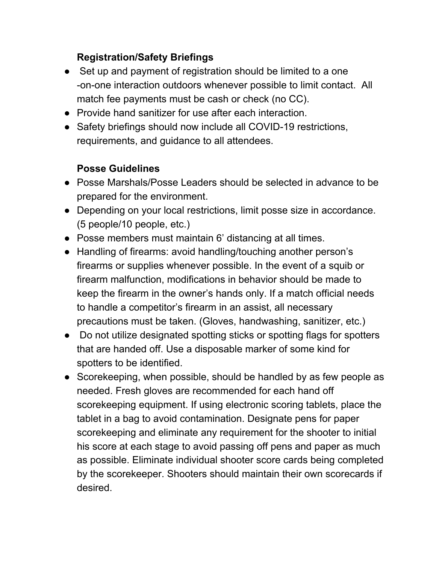## **Registration/Safety Briefings**

- Set up and payment of registration should be limited to a one -on-one interaction outdoors whenever possible to limit contact. All match fee payments must be cash or check (no CC).
- Provide hand sanitizer for use after each interaction.
- Safety briefings should now include all COVID-19 restrictions, requirements, and guidance to all attendees.

## **Posse Guidelines**

- Posse Marshals/Posse Leaders should be selected in advance to be prepared for the environment.
- Depending on your local restrictions, limit posse size in accordance. (5 people/10 people, etc.)
- Posse members must maintain 6' distancing at all times.
- Handling of firearms: avoid handling/touching another person's firearms or supplies whenever possible. In the event of a squib or firearm malfunction, modifications in behavior should be made to keep the firearm in the owner's hands only. If a match official needs to handle a competitor's firearm in an assist, all necessary precautions must be taken. (Gloves, handwashing, sanitizer, etc.)
- Do not utilize designated spotting sticks or spotting flags for spotters that are handed off. Use a disposable marker of some kind for spotters to be identified.
- Scorekeeping, when possible, should be handled by as few people as needed. Fresh gloves are recommended for each hand off scorekeeping equipment. If using electronic scoring tablets, place the tablet in a bag to avoid contamination. Designate pens for paper scorekeeping and eliminate any requirement for the shooter to initial his score at each stage to avoid passing off pens and paper as much as possible. Eliminate individual shooter score cards being completed by the scorekeeper. Shooters should maintain their own scorecards if desired.